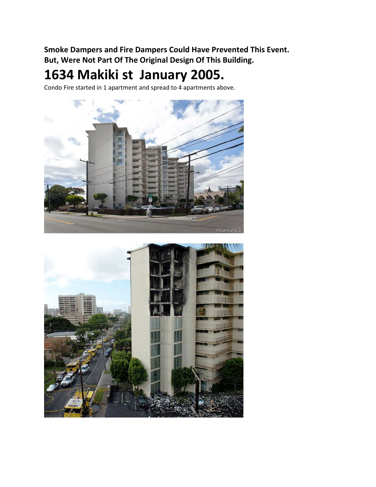**Smoke Dampers and Fire Dampers Could Have Prevented This Event. But, Were Not Part Of The Original Design Of This Building.** 

# **1634 Makiki st January 2005.**

Condo Fire started in 1 apartment and spread to 4 apartments above.



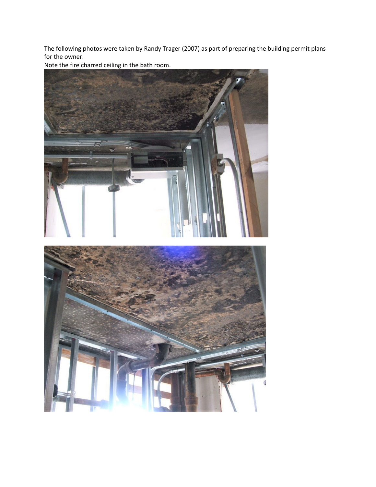The following photos were taken by Randy Trager (2007) as part of preparing the building permit plans for the owner.



Note the fire charred ceiling in the bath room.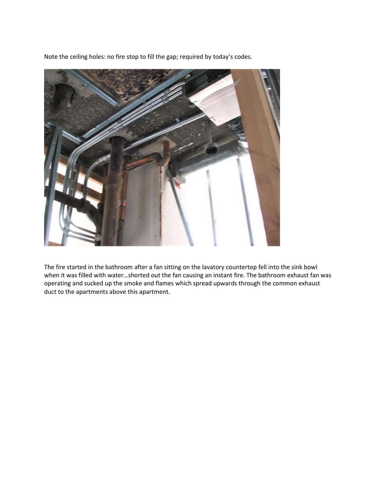Note the ceiling holes: no fire stop to fill the gap; required by today's codes.



The fire started in the bathroom after a fan sitting on the lavatory countertop fell into the sink bowl when it was filled with water…shorted out the fan causing an instant fire. The bathroom exhaust fan was operating and sucked up the smoke and flames which spread upwards through the common exhaust duct to the apartments above this apartment.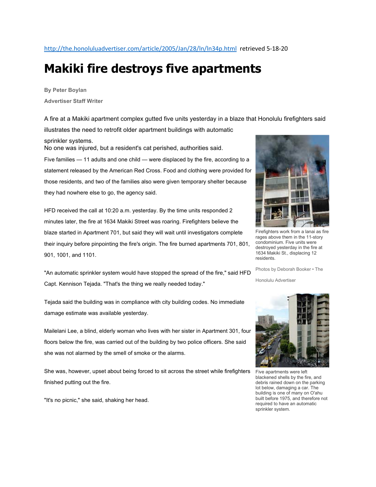## **Makiki fire destroys five apartments**

**By Peter Boylan** 

**Advertiser Staff Writer**

A fire at a Makiki apartment complex gutted five units yesterday in a blaze that Honolulu firefighters said illustrates the need to retrofit older apartment buildings with automatic

#### sprinkler systems.

No one was injured, but a resident's cat perished, authorities said. Five families — 11 adults and one child — were displaced by the fire, according to a statement released by the American Red Cross. Food and clothing were provided for

those residents, and two of the families also were given temporary shelter because they had nowhere else to go, the agency said.

HFD received the call at 10:20 a.m. yesterday. By the time units responded 2 minutes later, the fire at 1634 Makiki Street was roaring. Firefighters believe the blaze started in Apartment 701, but said they will wait until investigators complete their inquiry before pinpointing the fire's origin. The fire burned apartments 701, 801, 901, 1001, and 1101.

"An automatic sprinkler system would have stopped the spread of the fire," said HFD Capt. Kennison Tejada. "That's the thing we really needed today."

Tejada said the building was in compliance with city building codes. No immediate damage estimate was available yesterday.

Mailelani Lee, a blind, elderly woman who lives with her sister in Apartment 301, four floors below the fire, was carried out of the building by two police officers. She said she was not alarmed by the smell of smoke or the alarms.

She was, however, upset about being forced to sit across the street while firefighters finished putting out the fire.

"It's no picnic," she said, shaking her head.



Firefighters work from a lanai as fire rages above them in the 11-story condominium. Five units were destroyed yesterday in the fire at 1634 Makiki St., displacing 12 residents.

Photos by Deborah Booker • The

Honolulu Advertiser



Five apartments were left blackened shells by the fire, and debris rained down on the parking lot below, damaging a car. The building is one of many on O'ahu built before 1975, and therefore not required to have an automatic sprinkler system.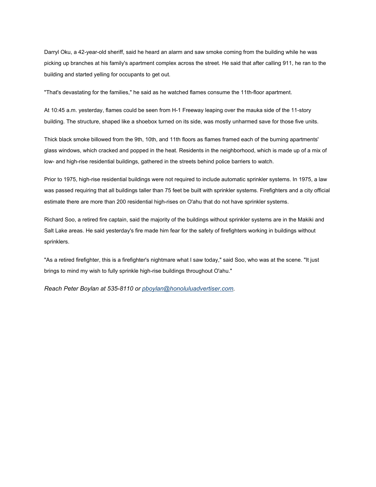Darryl Oku, a 42-year-old sheriff, said he heard an alarm and saw smoke coming from the building while he was picking up branches at his family's apartment complex across the street. He said that after calling 911, he ran to the building and started yelling for occupants to get out.

"That's devastating for the families," he said as he watched flames consume the 11th-floor apartment.

At 10:45 a.m. yesterday, flames could be seen from H-1 Freeway leaping over the mauka side of the 11-story building. The structure, shaped like a shoebox turned on its side, was mostly unharmed save for those five units.

Thick black smoke billowed from the 9th, 10th, and 11th floors as flames framed each of the burning apartments' glass windows, which cracked and popped in the heat. Residents in the neighborhood, which is made up of a mix of low- and high-rise residential buildings, gathered in the streets behind police barriers to watch.

Prior to 1975, high-rise residential buildings were not required to include automatic sprinkler systems. In 1975, a law was passed requiring that all buildings taller than 75 feet be built with sprinkler systems. Firefighters and a city official estimate there are more than 200 residential high-rises on O'ahu that do not have sprinkler systems.

Richard Soo, a retired fire captain, said the majority of the buildings without sprinkler systems are in the Makiki and Salt Lake areas. He said yesterday's fire made him fear for the safety of firefighters working in buildings without sprinklers.

"As a retired firefighter, this is a firefighter's nightmare what I saw today," said Soo, who was at the scene. "It just brings to mind my wish to fully sprinkle high-rise buildings throughout O'ahu."

*Reach Peter Boylan at 535-8110 or pboylan@honoluluadvertiser.com.*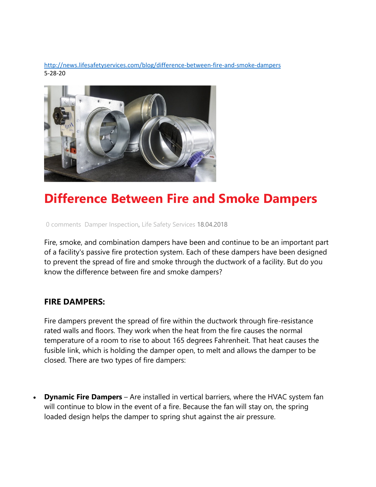http://news.lifesafetyservices.com/blog/difference-between-fire-and-smoke-dampers 5-28-20



# **Difference Between Fire and Smoke Dampers**

0 comments Damper Inspection, Life Safety Services 18.04.2018

Fire, smoke, and combination dampers have been and continue to be an important part of a facility's passive fire protection system. Each of these dampers have been designed to prevent the spread of fire and smoke through the ductwork of a facility. But do you know the difference between fire and smoke dampers?

### **FIRE DAMPERS:**

Fire dampers prevent the spread of fire within the ductwork through fire-resistance rated walls and floors. They work when the heat from the fire causes the normal temperature of a room to rise to about 165 degrees Fahrenheit. That heat causes the fusible link, which is holding the damper open, to melt and allows the damper to be closed. There are two types of fire dampers:

**Dynamic Fire Dampers** – Are installed in vertical barriers, where the HVAC system fan will continue to blow in the event of a fire. Because the fan will stay on, the spring loaded design helps the damper to spring shut against the air pressure.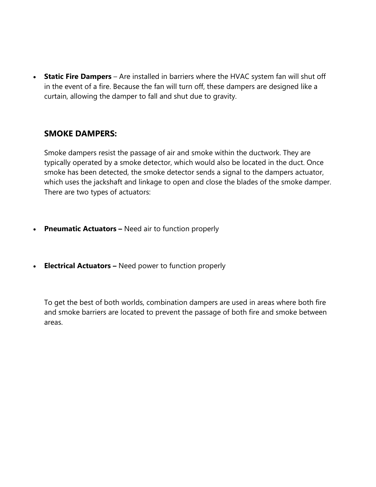**Static Fire Dampers** – Are installed in barriers where the HVAC system fan will shut off in the event of a fire. Because the fan will turn off, these dampers are designed like a curtain, allowing the damper to fall and shut due to gravity.

#### **SMOKE DAMPERS:**

Smoke dampers resist the passage of air and smoke within the ductwork. They are typically operated by a smoke detector, which would also be located in the duct. Once smoke has been detected, the smoke detector sends a signal to the dampers actuator, which uses the jackshaft and linkage to open and close the blades of the smoke damper. There are two types of actuators:

- **Pneumatic Actuators Need air to function properly**
- **Electrical Actuators** Need power to function properly

To get the best of both worlds, combination dampers are used in areas where both fire and smoke barriers are located to prevent the passage of both fire and smoke between areas.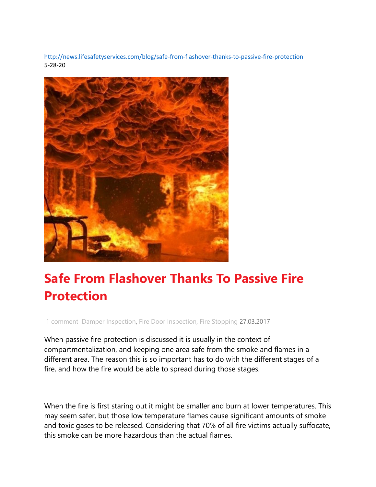http://news.lifesafetyservices.com/blog/safe-from-flashover-thanks-to-passive-fire-protection 5-28-20



# **Safe From Flashover Thanks To Passive Fire Protection**

1 comment Damper Inspection, Fire Door Inspection, Fire Stopping 27.03.2017

When passive fire protection is discussed it is usually in the context of compartmentalization, and keeping one area safe from the smoke and flames in a different area. The reason this is so important has to do with the different stages of a fire, and how the fire would be able to spread during those stages.

When the fire is first staring out it might be smaller and burn at lower temperatures. This may seem safer, but those low temperature flames cause significant amounts of smoke and toxic gases to be released. Considering that 70% of all fire victims actually suffocate, this smoke can be more hazardous than the actual flames.